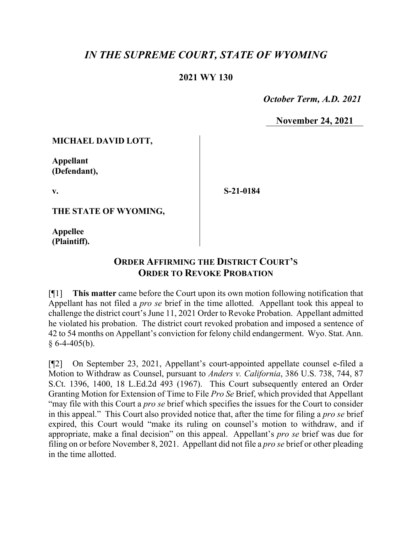## *IN THE SUPREME COURT, STATE OF WYOMING*

## **2021 WY 130**

 *October Term, A.D. 2021*

**November 24, 2021**

**MICHAEL DAVID LOTT,**

**Appellant (Defendant),**

**v.**

**S-21-0184**

**THE STATE OF WYOMING,**

**Appellee (Plaintiff).**

## **ORDER AFFIRMING THE DISTRICT COURT'S ORDER TO REVOKE PROBATION**

[¶1] **This matter** came before the Court upon its own motion following notification that Appellant has not filed a *pro se* brief in the time allotted. Appellant took this appeal to challenge the district court's June 11, 2021 Order to Revoke Probation. Appellant admitted he violated his probation. The district court revoked probation and imposed a sentence of 42 to 54 months on Appellant's conviction for felony child endangerment. Wyo. Stat. Ann.  $§ 6-4-405(b).$ 

[¶2] On September 23, 2021, Appellant's court-appointed appellate counsel e-filed a Motion to Withdraw as Counsel, pursuant to *Anders v. California*, 386 U.S. 738, 744, 87 S.Ct. 1396, 1400, 18 L.Ed.2d 493 (1967). This Court subsequently entered an Order Granting Motion for Extension of Time to File *Pro Se* Brief, which provided that Appellant "may file with this Court a *pro se* brief which specifies the issues for the Court to consider in this appeal." This Court also provided notice that, after the time for filing a *pro se* brief expired, this Court would "make its ruling on counsel's motion to withdraw, and if appropriate, make a final decision" on this appeal. Appellant's *pro se* brief was due for filing on or before November 8, 2021. Appellant did not file a *pro se* brief or other pleading in the time allotted.